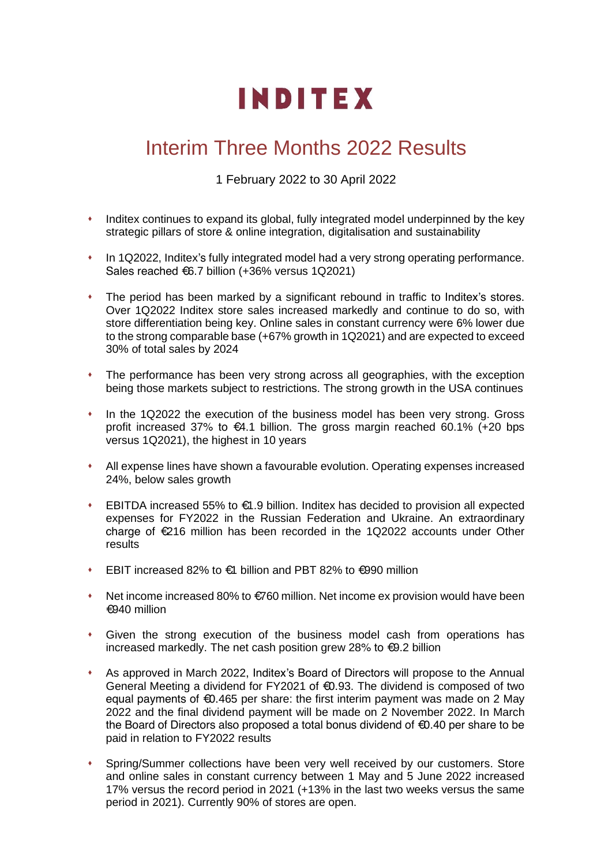# **INDITEX**

# Interim Three Months 2022 Results

1 February 2022 to 30 April 2022

- ⬧ Inditex continues to expand its global, fully integrated model underpinned by the key strategic pillars of store & online integration, digitalisation and sustainability
- ⬧ In 1Q2022, Inditex's fully integrated model had a very strong operating performance. Sales reached €6.7 billion (+36% versus 1Q2021)
- ⬧ The period has been marked by a significant rebound in traffic to Inditex's stores. Over 1Q2022 Inditex store sales increased markedly and continue to do so, with store differentiation being key. Online sales in constant currency were 6% lower due to the strong comparable base (+67% growth in 1Q2021) and are expected to exceed 30% of total sales by 2024
- ⬧ The performance has been very strong across all geographies, with the exception being those markets subject to restrictions. The strong growth in the USA continues
- ⬧ In the 1Q2022 the execution of the business model has been very strong. Gross profit increased 37% to  $\epsilon$ 4.1 billion. The gross margin reached 60.1% (+20 bps versus 1Q2021), the highest in 10 years
- ⬧ All expense lines have shown a favourable evolution. Operating expenses increased 24%, below sales growth
- EBITDA increased 55% to  $\bigoplus$  9 billion. Inditex has decided to provision all expected expenses for FY2022 in the Russian Federation and Ukraine. An extraordinary charge of €216 million has been recorded in the 1Q2022 accounts under Other results
- EBIT increased 82% to €1 billion and PBT 82% to €990 million
- ⬧ Net income increased 80% to €760 million. Net income ex provision would have been €940 million
- ⬧ Given the strong execution of the business model cash from operations has increased markedly. The net cash position grew 28% to €9.2 billion
- ⬧ As approved in March 2022, Inditex's Board of Directors will propose to the Annual General Meeting a dividend for FY2021 of €0.93. The dividend is composed of two equal payments of €0.465 per share: the first interim payment was made on 2 May 2022 and the final dividend payment will be made on 2 November 2022. In March the Board of Directors also proposed a total bonus dividend of €0.40 per share to be paid in relation to FY2022 results
- Spring/Summer collections have been very well received by our customers. Store and online sales in constant currency between 1 May and 5 June 2022 increased 17% versus the record period in 2021 (+13% in the last two weeks versus the same period in 2021). Currently 90% of stores are open.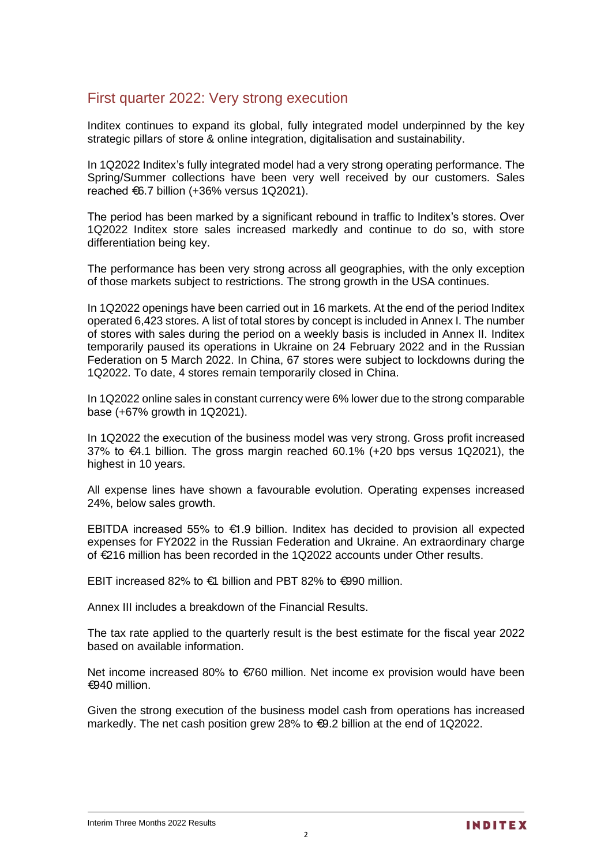## First quarter 2022: Very strong execution

Inditex continues to expand its global, fully integrated model underpinned by the key strategic pillars of store & online integration, digitalisation and sustainability.

In 1Q2022 Inditex's fully integrated model had a very strong operating performance. The Spring/Summer collections have been very well received by our customers. Sales reached €6.7 billion (+36% versus 1Q2021).

The period has been marked by a significant rebound in traffic to Inditex's stores. Over 1Q2022 Inditex store sales increased markedly and continue to do so, with store differentiation being key.

The performance has been very strong across all geographies, with the only exception of those markets subject to restrictions. The strong growth in the USA continues.

In 1Q2022 openings have been carried out in 16 markets. At the end of the period Inditex operated 6,423 stores. A list of total stores by concept is included in Annex I. The number of stores with sales during the period on a weekly basis is included in Annex II. Inditex temporarily paused its operations in Ukraine on 24 February 2022 and in the Russian Federation on 5 March 2022. In China, 67 stores were subject to lockdowns during the 1Q2022. To date, 4 stores remain temporarily closed in China.

In 1Q2022 online sales in constant currency were 6% lower due to the strong comparable base (+67% growth in 1Q2021).

In 1Q2022 the execution of the business model was very strong. Gross profit increased 37% to €4.1 billion. The gross margin reached 60.1% (+20 bps versus 1Q2021), the highest in 10 years.

All expense lines have shown a favourable evolution. Operating expenses increased 24%, below sales growth.

EBITDA increased 55% to €1.9 billion. Inditex has decided to provision all expected expenses for FY2022 in the Russian Federation and Ukraine. An extraordinary charge of €216 million has been recorded in the 1Q2022 accounts under Other results.

EBIT increased 82% to €1 billion and PBT 82% to €990 million.

Annex III includes a breakdown of the Financial Results.

The tax rate applied to the quarterly result is the best estimate for the fiscal year 2022 based on available information.

Net income increased 80% to €760 million. Net income ex provision would have been €940 million.

Given the strong execution of the business model cash from operations has increased markedly. The net cash position grew 28% to €9.2 billion at the end of 1Q2022.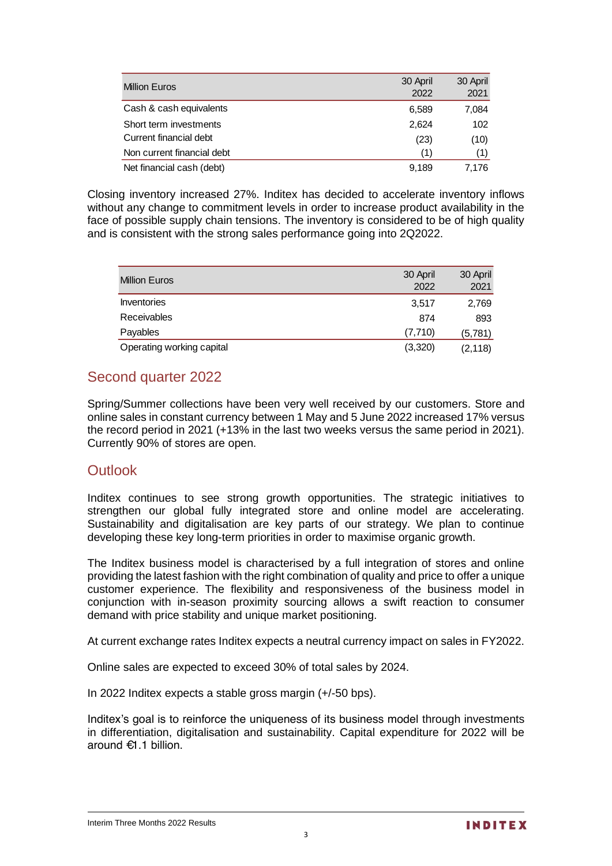| <b>Million Euros</b>       | 30 April<br>2022 | 30 April<br>2021 |
|----------------------------|------------------|------------------|
| Cash & cash equivalents    | 6,589            | 7,084            |
| Short term investments     | 2,624            | 102              |
| Current financial debt     | (23)             | (10)             |
| Non current financial debt | (1)              | (1)              |
| Net financial cash (debt)  | 9,189            | 7.176            |

Closing inventory increased 27%. Inditex has decided to accelerate inventory inflows without any change to commitment levels in order to increase product availability in the face of possible supply chain tensions. The inventory is considered to be of high quality and is consistent with the strong sales performance going into 2Q2022.

| <b>Million Euros</b>      | 30 April | 30 April |
|---------------------------|----------|----------|
|                           | 2022     | 2021     |
| <b>Inventories</b>        | 3,517    | 2,769    |
| <b>Receivables</b>        | 874      | 893      |
| Payables                  | (7,710)  | (5,781)  |
| Operating working capital | (3,320)  | (2, 118) |

# Second quarter 2022

Spring/Summer collections have been very well received by our customers. Store and online sales in constant currency between 1 May and 5 June 2022 increased 17% versus the record period in 2021 (+13% in the last two weeks versus the same period in 2021). Currently 90% of stores are open.

### **Outlook**

Inditex continues to see strong growth opportunities. The strategic initiatives to strengthen our global fully integrated store and online model are accelerating. Sustainability and digitalisation are key parts of our strategy. We plan to continue developing these key long-term priorities in order to maximise organic growth.

The Inditex business model is characterised by a full integration of stores and online providing the latest fashion with the right combination of quality and price to offer a unique customer experience. The flexibility and responsiveness of the business model in conjunction with in-season proximity sourcing allows a swift reaction to consumer demand with price stability and unique market positioning.

At current exchange rates Inditex expects a neutral currency impact on sales in FY2022.

Online sales are expected to exceed 30% of total sales by 2024.

In 2022 Inditex expects a stable gross margin (+/-50 bps).

Inditex's goal is to reinforce the uniqueness of its business model through investments in differentiation, digitalisation and sustainability. Capital expenditure for 2022 will be around €1.1 billion.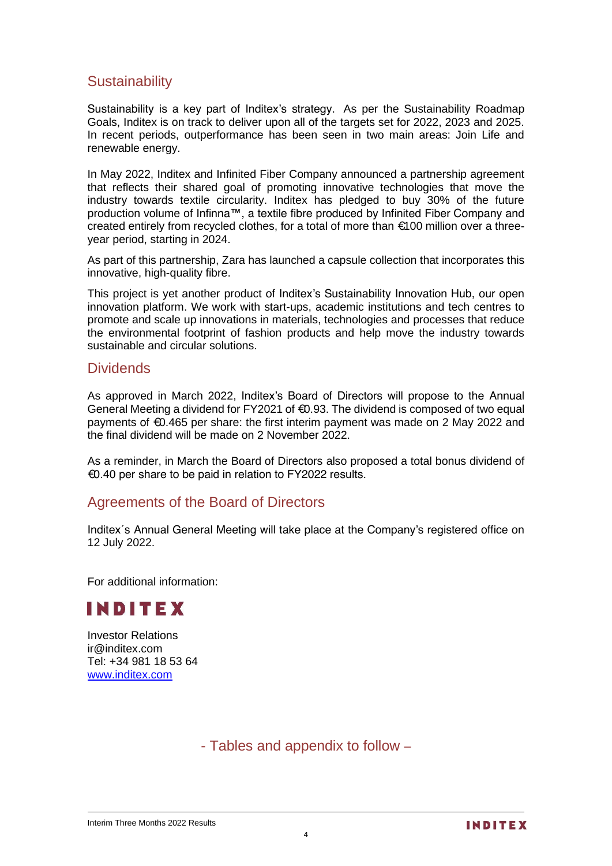# **Sustainability**

Sustainability is a key part of Inditex's strategy. As per the Sustainability Roadmap Goals, Inditex is on track to deliver upon all of the targets set for 2022, 2023 and 2025. In recent periods, outperformance has been seen in two main areas: Join Life and renewable energy.

In May 2022, Inditex and Infinited Fiber Company announced a partnership agreement that reflects their shared goal of promoting innovative technologies that move the industry towards textile circularity. Inditex has pledged to buy 30% of the future production volume of Infinna™, a textile fibre produced by Infinited Fiber Company and created entirely from recycled clothes, for a total of more than €100 million over a threeyear period, starting in 2024.

As part of this partnership, Zara has launched a capsule collection that incorporates this innovative, high-quality fibre.

This project is yet another product of Inditex's Sustainability Innovation Hub, our open innovation platform. We work with start-ups, academic institutions and tech centres to promote and scale up innovations in materials, technologies and processes that reduce the environmental footprint of fashion products and help move the industry towards sustainable and circular solutions.

#### **Dividends**

As approved in March 2022, Inditex's Board of Directors will propose to the Annual General Meeting a dividend for  $FY2021$  of  $€0.93$ . The dividend is composed of two equal payments of €0.465 per share: the first interim payment was made on 2 May 2022 and the final dividend will be made on 2 November 2022.

As a reminder, in March the Board of Directors also proposed a total bonus dividend of €0.40 per share to be paid in relation to FY2022 results.

#### Agreements of the Board of Directors

Inditex´s Annual General Meeting will take place at the Company's registered office on 12 July 2022.

For additional information:



Investor Relations ir@inditex.com Tel: +34 981 18 53 64 www.inditex.com

- Tables and appendix to follow –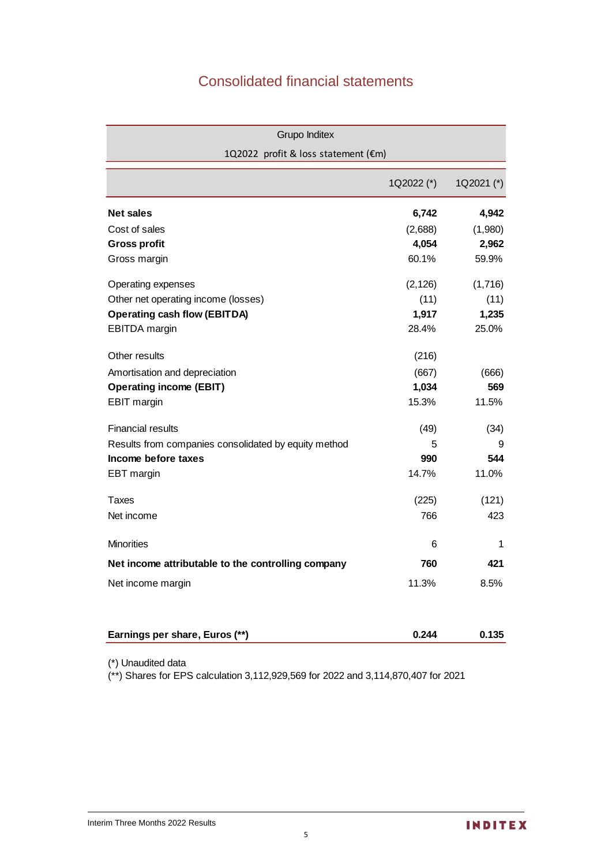# Consolidated financial statements

| <b>Grupo Inditex</b>                                 |            |            |
|------------------------------------------------------|------------|------------|
| 1Q2022 profit & loss statement (€m)                  |            |            |
|                                                      | 1Q2022 (*) | 1Q2021 (*) |
| <b>Net sales</b>                                     | 6,742      | 4,942      |
| Cost of sales                                        | (2,688)    | (1,980)    |
| <b>Gross profit</b>                                  | 4,054      | 2,962      |
| Gross margin                                         | 60.1%      | 59.9%      |
| Operating expenses                                   | (2, 126)   | (1,716)    |
| Other net operating income (losses)                  | (11)       | (11)       |
| <b>Operating cash flow (EBITDA)</b>                  | 1,917      | 1,235      |
| EBITDA margin                                        | 28.4%      | 25.0%      |
| Other results                                        | (216)      |            |
| Amortisation and depreciation                        | (667)      | (666)      |
| <b>Operating income (EBIT)</b>                       | 1,034      | 569        |
| <b>EBIT</b> margin                                   | 15.3%      | 11.5%      |
| <b>Financial results</b>                             | (49)       | (34)       |
| Results from companies consolidated by equity method | 5          | 9          |
| Income before taxes                                  | 990        | 544        |
| EBT margin                                           | 14.7%      | 11.0%      |
| Taxes                                                | (225)      | (121)      |
| Net income                                           | 766        | 423        |
| <b>Minorities</b>                                    | 6          | 1          |
| Net income attributable to the controlling company   | 760        | 421        |
| Net income margin                                    | 11.3%      | 8.5%       |
|                                                      |            |            |
| Earnings per share, Euros (**)                       | 0.244      | 0.135      |

(\*) Unaudited data

(\*\*) Shares for EPS calculation 3,112,929,569 for 2022 and 3,114,870,407 for 2021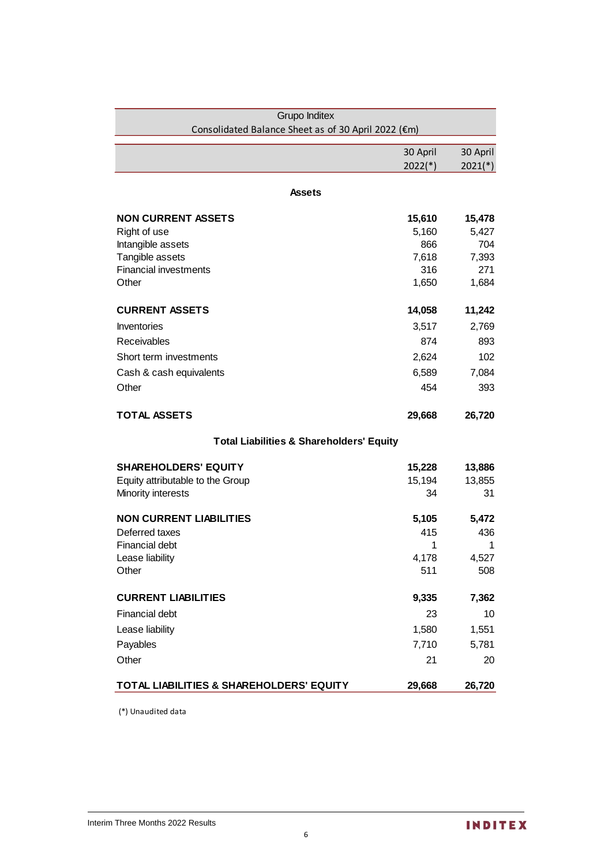| Grupo Inditex                                       |           |           |
|-----------------------------------------------------|-----------|-----------|
| Consolidated Balance Sheet as of 30 April 2022 (€m) |           |           |
|                                                     | 30 April  | 30 April  |
|                                                     | $2022(*)$ | $2021(*)$ |
|                                                     |           |           |
| Assets                                              |           |           |
| <b>NON CURRENT ASSETS</b>                           | 15,610    | 15,478    |
| Right of use                                        | 5,160     | 5,427     |
| Intangible assets                                   | 866       | 704       |
| Tangible assets                                     | 7,618     | 7,393     |
| <b>Financial investments</b>                        | 316       | 271       |
| Other                                               | 1,650     | 1,684     |
| <b>CURRENT ASSETS</b>                               | 14,058    | 11,242    |
| <b>Inventories</b>                                  | 3,517     | 2,769     |
| Receivables                                         | 874       | 893       |
| Short term investments                              | 2,624     | 102       |
| Cash & cash equivalents                             | 6,589     | 7,084     |
| Other                                               | 454       | 393       |
|                                                     |           |           |
| <b>TOTAL ASSETS</b>                                 | 29,668    | 26,720    |
| <b>Total Liabilities &amp; Shareholders' Equity</b> |           |           |
| <b>SHAREHOLDERS' EQUITY</b>                         | 15,228    | 13,886    |
| Equity attributable to the Group                    | 15,194    | 13,855    |
| Minority interests                                  | 34        | 31        |
| <b>NON CURRENT LIABILITIES</b>                      | 5,105     | 5,472     |
| Deferred taxes                                      | 415       | 436       |
| <b>Financial debt</b>                               | 1         | 1         |
| Lease liability                                     | 4,178     | 4,527     |
| Other                                               | 511       | 508       |
| <b>CURRENT LIABILITIES</b>                          | 9,335     | 7,362     |
| <b>Financial debt</b>                               | 23        | 10        |
| Lease liability                                     | 1,580     | 1,551     |
| Payables                                            | 7,710     | 5,781     |
| Other                                               | 21        | 20        |
| TOTAL LIABILITIES & SHAREHOLDERS' EQUITY            | 29,668    | 26,720    |

(\*) Unaudited data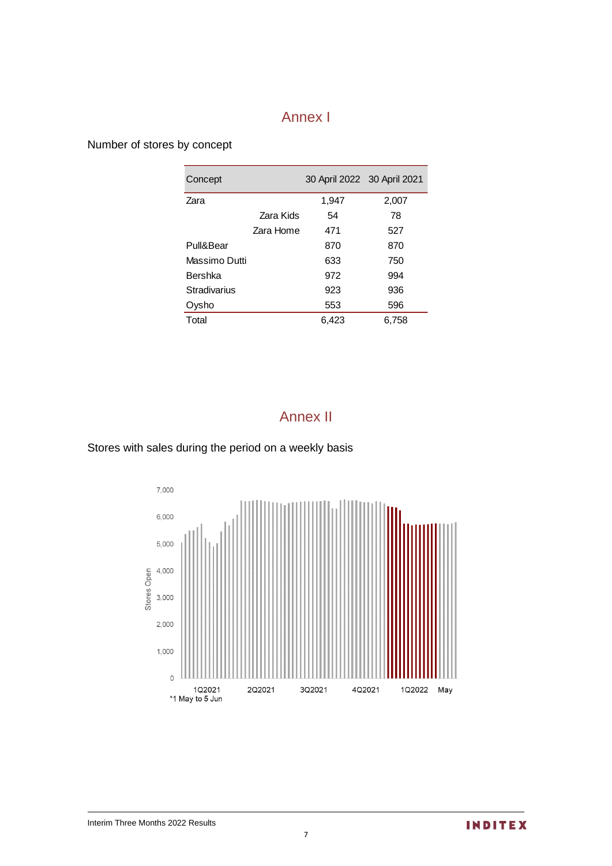# Annex I

Number of stores by concept

| Concept       |           | 30 April 2022 30 April 2021 |       |
|---------------|-----------|-----------------------------|-------|
| Zara          |           | 1,947                       | 2,007 |
|               | Zara Kids | 54                          | 78    |
|               | Zara Home | 471                         | 527   |
| Pull&Bear     |           | 870                         | 870   |
| Massimo Dutti |           | 633                         | 750   |
| Bershka       |           | 972                         | 994   |
| Stradivarius  |           | 923                         | 936   |
| Oysho         |           | 553                         | 596   |
| Total         |           | 6,423                       | 6,758 |

# Annex II

Stores with sales during the period on a weekly basis

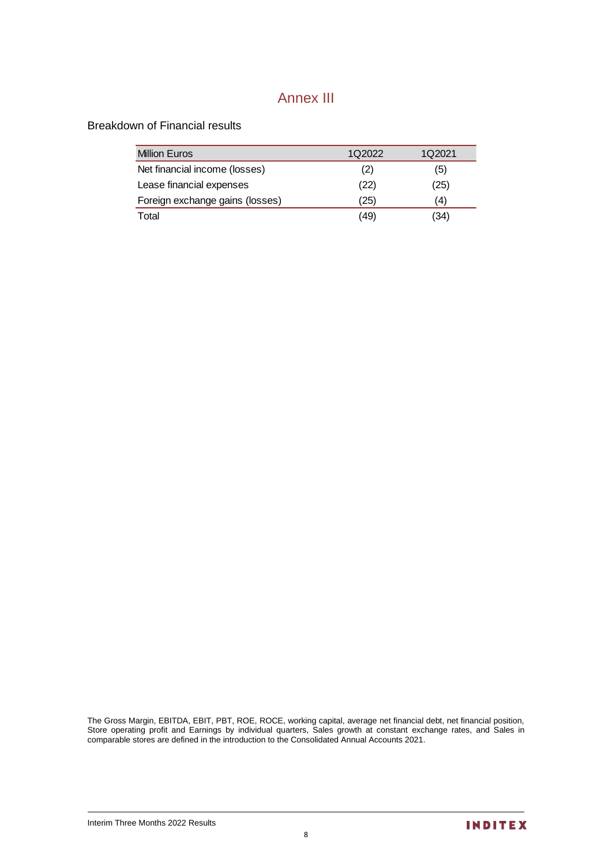# Annex III

Breakdown of Financial results

| <b>Million Euros</b>            | 1Q2022 | 1Q2021 |
|---------------------------------|--------|--------|
| Net financial income (losses)   | (2)    | (5)    |
| Lease financial expenses        | (22)   | (25)   |
| Foreign exchange gains (losses) | '25)   | (4)    |
| Total                           | (49    | (34)   |

The Gross Margin, EBITDA, EBIT, PBT, ROE, ROCE, working capital, average net financial debt, net financial position, Store operating profit and Earnings by individual quarters, Sales growth at constant exchange rates, and Sales in comparable stores are defined in the introduction to the Consolidated Annual Accounts 2021.